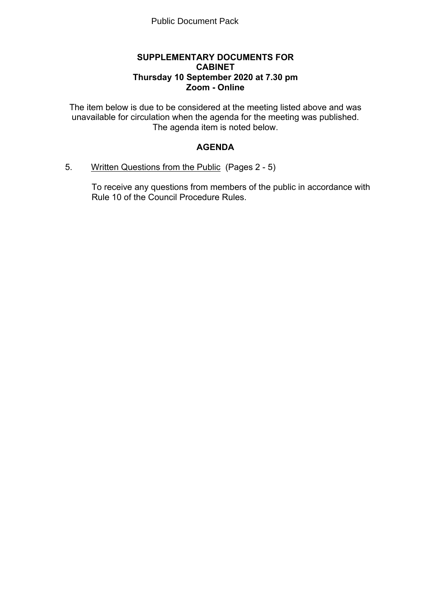#### **SUPPLEMENTARY DOCUMENTS FOR CABINET Thursday 10 September 2020 at 7.30 pm Zoom - Online**

The item below is due to be considered at the meeting listed above and was unavailable for circulation when the agenda for the meeting was published. The agenda item is noted below.

# **AGENDA**

5. Written Questions from the Public(Pages 2 - 5)

To receive any questions from members of the public in accordance with Rule 10 of the Council Procedure Rules.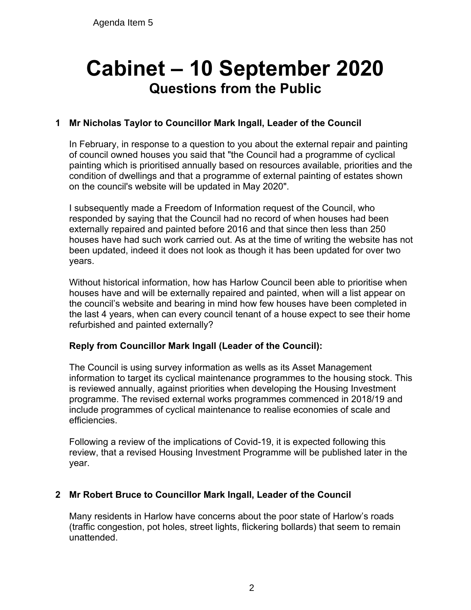# **Cabinet – 10 September 2020 Questions from the Public**

# **1 Mr Nicholas Taylor to Councillor Mark Ingall, Leader of the Council**

In February, in response to a question to you about the external repair and painting of council owned houses you said that "the Council had a programme of cyclical painting which is prioritised annually based on resources available, priorities and the condition of dwellings and that a programme of external painting of estates shown on the council's website will be updated in May 2020".

I subsequently made a Freedom of Information request of the Council, who responded by saying that the Council had no record of when houses had been externally repaired and painted before 2016 and that since then less than 250 houses have had such work carried out. As at the time of writing the website has not been updated, indeed it does not look as though it has been updated for over two years.

Without historical information, how has Harlow Council been able to prioritise when houses have and will be externally repaired and painted, when will a list appear on the council's website and bearing in mind how few houses have been completed in the last 4 years, when can every council tenant of a house expect to see their home refurbished and painted externally?

## **Reply from Councillor Mark Ingall (Leader of the Council):**

The Council is using survey information as wells as its Asset Management information to target its cyclical maintenance programmes to the housing stock. This is reviewed annually, against priorities when developing the Housing Investment programme. The revised external works programmes commenced in 2018/19 and include programmes of cyclical maintenance to realise economies of scale and efficiencies.

Following a review of the implications of Covid-19, it is expected following this review, that a revised Housing Investment Programme will be published later in the year.

## **2 Mr Robert Bruce to Councillor Mark Ingall, Leader of the Council**

Many residents in Harlow have concerns about the poor state of Harlow's roads (traffic congestion, pot holes, street lights, flickering bollards) that seem to remain unattended.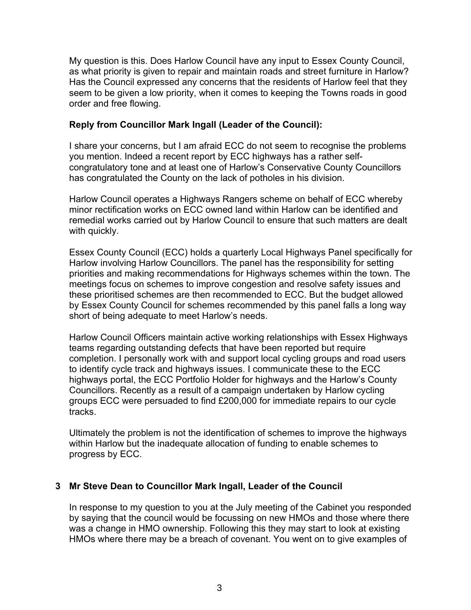My question is this. Does Harlow Council have any input to Essex County Council, as what priority is given to repair and maintain roads and street furniture in Harlow? Has the Council expressed any concerns that the residents of Harlow feel that they seem to be given a low priority, when it comes to keeping the Towns roads in good order and free flowing.

#### **Reply from Councillor Mark Ingall (Leader of the Council):**

I share your concerns, but I am afraid ECC do not seem to recognise the problems you mention. Indeed a recent report by ECC highways has a rather selfcongratulatory tone and at least one of Harlow's Conservative County Councillors has congratulated the County on the lack of potholes in his division.

Harlow Council operates a Highways Rangers scheme on behalf of ECC whereby minor rectification works on ECC owned land within Harlow can be identified and remedial works carried out by Harlow Council to ensure that such matters are dealt with quickly.

Essex County Council (ECC) holds a quarterly Local Highways Panel specifically for Harlow involving Harlow Councillors. The panel has the responsibility for setting priorities and making recommendations for Highways schemes within the town. The meetings focus on schemes to improve congestion and resolve safety issues and these prioritised schemes are then recommended to ECC. But the budget allowed by Essex County Council for schemes recommended by this panel falls a long way short of being adequate to meet Harlow's needs.

Harlow Council Officers maintain active working relationships with Essex Highways teams regarding outstanding defects that have been reported but require completion. I personally work with and support local cycling groups and road users to identify cycle track and highways issues. I communicate these to the ECC highways portal, the ECC Portfolio Holder for highways and the Harlow's County Councillors. Recently as a result of a campaign undertaken by Harlow cycling groups ECC were persuaded to find £200,000 for immediate repairs to our cycle tracks.

Ultimately the problem is not the identification of schemes to improve the highways within Harlow but the inadequate allocation of funding to enable schemes to progress by ECC.

## **3 Mr Steve Dean to Councillor Mark Ingall, Leader of the Council**

In response to my question to you at the July meeting of the Cabinet you responded by saying that the council would be focussing on new HMOs and those where there was a change in HMO ownership. Following this they may start to look at existing HMOs where there may be a breach of covenant. You went on to give examples of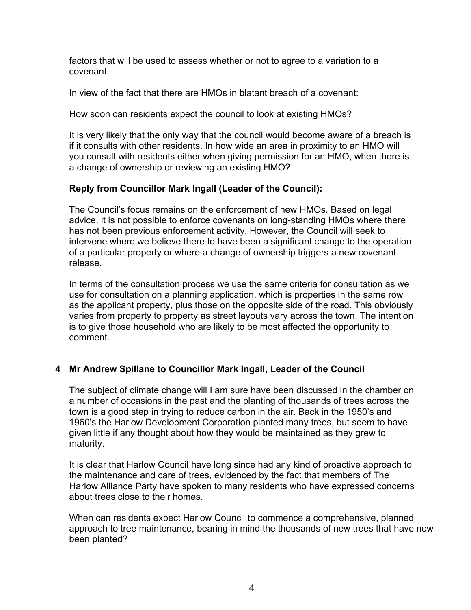factors that will be used to assess whether or not to agree to a variation to a covenant.

In view of the fact that there are HMOs in blatant breach of a covenant:

How soon can residents expect the council to look at existing HMOs?

It is very likely that the only way that the council would become aware of a breach is if it consults with other residents. In how wide an area in proximity to an HMO will you consult with residents either when giving permission for an HMO, when there is a change of ownership or reviewing an existing HMO?

# **Reply from Councillor Mark Ingall (Leader of the Council):**

The Council's focus remains on the enforcement of new HMOs. Based on legal advice, it is not possible to enforce covenants on long-standing HMOs where there has not been previous enforcement activity. However, the Council will seek to intervene where we believe there to have been a significant change to the operation of a particular property or where a change of ownership triggers a new covenant release.

In terms of the consultation process we use the same criteria for consultation as we use for consultation on a planning application, which is properties in the same row as the applicant property, plus those on the opposite side of the road. This obviously varies from property to property as street layouts vary across the town. The intention is to give those household who are likely to be most affected the opportunity to comment.

## **4 Mr Andrew Spillane to Councillor Mark Ingall, Leader of the Council**

The subject of climate change will I am sure have been discussed in the chamber on a number of occasions in the past and the planting of thousands of trees across the town is a good step in trying to reduce carbon in the air. Back in the 1950's and 1960's the Harlow Development Corporation planted many trees, but seem to have given little if any thought about how they would be maintained as they grew to maturity.

It is clear that Harlow Council have long since had any kind of proactive approach to the maintenance and care of trees, evidenced by the fact that members of The Harlow Alliance Party have spoken to many residents who have expressed concerns about trees close to their homes.

When can residents expect Harlow Council to commence a comprehensive, planned approach to tree maintenance, bearing in mind the thousands of new trees that have now been planted?